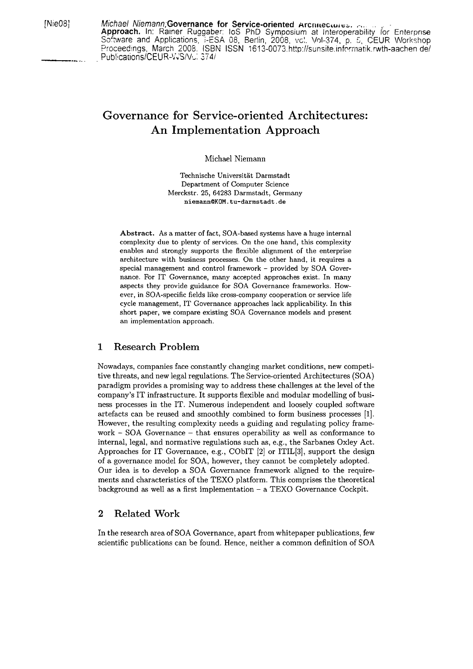[Nie08] Michael Niemann; Governance for Service-oriented Arcnitectures. ... **Approach.** In: Rainer Ruggabe:: los PhD Symposium at lnteroperability /or Enterprise Software and Applications, I-ESA 08, Berlin, 2008, vcl. Vol-374, p. 5, CEUR Workshop Proceedings, March 2008. ISBN ISSN 1613-0073.http://sunsite.informatik.rwth-aachen de/ Publications/CEUR-WS/V<sub>C</sub>: 374/

# **Governance for Service-oriented Architectures: An Implementation Approach**

Michael Niemann

Technische Universität Darmstadt Department of Computer Science Merckstr. 25, 64283 Darmstadt, Germany  $n$ iemann@KOM.tu-darmstadt.de

Abstract. As a matter of fact, SOA-based systerns have a huge internal complexity due to plenty of services. On the one hand, this complexity enables and strongly supports the flexible alignment of the enterprise architecture with business processes. On the other hand, it requires a special management and control framework - provided by SOA Governance. For IT Governance, many accepted approaches exist. In many aspects they provide guidance for SOA Governance frameworks. However, in SOA-specific fields like cross-company cooperation or service life cycle management, IT Governance approaches lack applicability. In this short Paper, we compare existing SOA Governance models and present an implementation approach.

## **1 Research Problem**

Nowadays, companies face constantly changing market conditions, new competitive threats, and new legal regulations. The Service-oriented Architectures (SOA) paradigm provides a promising way to address these challenges at the level of the company's IT infrastructure. It supports flexible and modular modelling of business processes in the IT. Numerous independent and loosely coupled software artefacts can be reused and smoothly combined to form business processes [I]. However, the resulting complexity needs a guiding and regulating policy framework - SOA Governance - that ensures operability **as** well as conformance to internal, legal, and normative regulations such as, e.g., the Sarbanes Oxley Act. Approaches for IT Governance, e.g., CObIT [2] or ITIL[3], support the design of a governance model for SOA, however, they cannot be completely adopted. Our idea is to develop a SOA Governance framework aligned to the requirements and characteristics of the TEXO platform. This comprises the theoretical background as well as a first implementation  $-$  a TEXO Governance Cockpit.

#### **2 Related Work**

In the research area of SOA Governance, apart from whitepaper publications, few scientific publications can be found. Hence, neither a common definition of SOA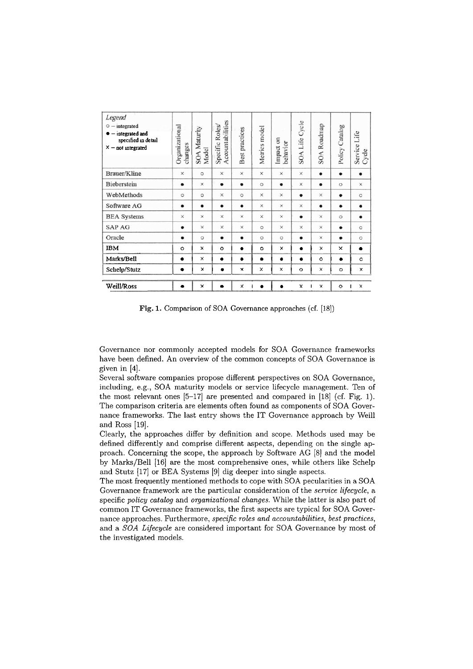| Legend<br>$\circ$ - integrated<br>$\bullet$ - integrated and<br>specified in detail<br>$x$ – not integrated | Organizational<br>changes | SOA Maturity<br>Model | Accountabilities<br>Specific Roles | Best practices | Metrics model | Impact on<br>behavior | SOA Life Cycle | SOA Roadmap         | Policy Catalog | Service Life<br>Cycle |
|-------------------------------------------------------------------------------------------------------------|---------------------------|-----------------------|------------------------------------|----------------|---------------|-----------------------|----------------|---------------------|----------------|-----------------------|
| Brauer/Kline                                                                                                | $\times$                  | $\circ$               | $\times$                           | $\times$       | $\times$      | $\times$              | ×              | $\bullet$           | $\bullet$      | $\bullet$             |
| Bieberstein                                                                                                 | $\bullet$                 | $\times$              | $\bullet$                          | $\bullet$      | $\circ$       | ٠                     | $\times$       | $\bullet$           | $\circ$        | $\times$              |
| WebMethods                                                                                                  | $\circ$                   | $\circ$               | X                                  | $\circ$        | $\times$      | ×                     | $\bullet$      | X                   | $\bullet$      | $\circ$               |
| Software AG                                                                                                 | ٠                         | $\bullet$             | ٠                                  | $\bullet$      | $\times$      | ×                     | $\times$       | $\bullet$           | $\bullet$      | $\bullet$             |
| <b>BEA Systems</b>                                                                                          | $\times$                  | $\times$              | X                                  | $\times$       | $\times$      | $\times$              | $\bullet$      | $\times$            | $\circ$        | $\bullet$             |
| <b>SAP AG</b>                                                                                               | $\bullet$                 | $\times$              | X                                  | $\times$       | $\circ$       | $\times$              | $\times$       | $\times$            | $\bullet$      | $\circ$               |
| Oracle                                                                                                      | $\bullet$                 | $\circ$               | $\bullet$                          | $\bullet$      | $\circ$       | $\circ$               | $\bullet$      | $\times$            | ٠              | $\circ$               |
| <b>IBM</b>                                                                                                  | $\circ$                   | $\times$              | $\circ$                            | $\bullet$      | $\circ$       | x                     | $\bullet$      | ×                   | ×              | ٠                     |
| Marks/Bell                                                                                                  | ٠                         | $\times$              | ٠                                  | $\bullet$      | ٠             | ٠                     | $\bullet$      | $\circ$             | $\bullet$      | $\circ$               |
| Schelp/Stutz                                                                                                | ٠                         | x                     | ٠                                  | $\mathbf{x}$   | $\times$      | x                     | $\circ$        | ×                   | $\circ$        | $\mathbf x$           |
| <b>Weill/Ross</b>                                                                                           |                           | ×                     |                                    | ×              | ÷             |                       | ×              | $\pmb{\times}$<br>т | $\circ$        | ×                     |

Fig. 1. Comparison of SOA Governance approaches (cf. [18])

Governance nor commonly accepted models for SOA Governance frameworks have been defined. An overview of the common concepts of SOA Governance is given in **[4].** 

Several software companies propose different perspectives on SOA Governance, including, e.g., SOA maturity models or service lifecycle management. Ten of the most relevant ones  $[5-17]$  are presented and compared in  $[18]$  (cf. Fig. 1). The comparison criteria are elements often found as components of SOA Governance frameworks. The last entry shows the IT Governance approach by Weill and Ross [19].

Clearly, the approaches differ by definition and scope. Methods used may be defined differently and comprise different aspects, depending on the single approach. Concerning the scope, the approach by Software AG [8] and the model by Marks/Bell [16] are the most comprehensive ones, while others like Schelp and Stutz [17] or BEA Systems [9] dig deeper into single aspects.

The most frequently mentioned methods to cope with SOA pecularities in a SOA Governance framework are the particular consideration of the *service lifecycle,* a specific *policy catalog* and *organizational changes*. While the latter is also part of common IT Governance frameworks, the first aspects are typical for SOA Governance approaches. Furthermore, *specific roles und accountabilities, best practices,*  and a *SOA Lifecycle* are considered important for SOA Governance by most of the investigated models.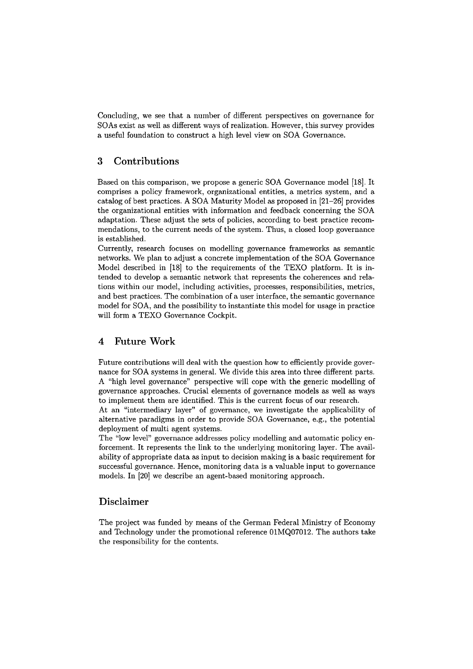Concluding, we see that a number of different perspectives on governance for SOAs exist as well as different ways of realization. However, this survey provides a useful foundation to construct a high level view on SOA Governance.

## **3 Contributions**

Based on this comparison, we propose a generic SOA Governance model [18]. It comprises a policy framework, organizational entities, a metrics system, and a catalog of best practices. **A** SOA Maturity Model **as** proposed in [21-261 provides the organizational entities with information and feedback concerning the SOA adaptation. These adjust the sets of policies, according to best practice recommendations, to the current needs of the system. Thus, a closed loop governance is established.

Currently, research focuses on modelling governance frameworks **as** semantic networks. We plan to adjust a concrete implementation of the SOA Governance Model described in [18] to the requirements of the TEXO platform. It is intended to develop a semantic network that represents the coherences and relations within our model, including activities, processes, responsibilities, metrics, and best practices. The combination of a user interface, the semantic governance model for SOA, and the possibility to instantiate this model for usage in practice will form a TEXO Governance Cockpit.

# **4 Future Work**

Future contributions will deal with the question how to efficiently provide governance for SOA systems in general. We divide this area into three different parts. A "high level governance" perspective will cope with the generic modelling of governance approaches. Crucial elements of governance models as well **as** ways to implement them are identified. This is the current focus of our research.

At an "intermediary layer" of governance, we investigate the applicability of alternative paradigms in order to provide SOA Governance, e.g., the potential deployment of multi agent systems.

The "low level" governance addresses policy modelling and automatic policy enforcement. It represents the link to the underlying monitoring layer. The availability of appropriate data as input to decision making is a basic requirement for successful governance. Hence, monitoring data is a valuable input to governance models. In [20] we describe an agent-based monitoring approach.

# **Disclaimer**

The project was funded by means of the German Federal Ministry of Economy and Technology under the promotional reference 01MQ07012. The authors take the responsibility for the contents.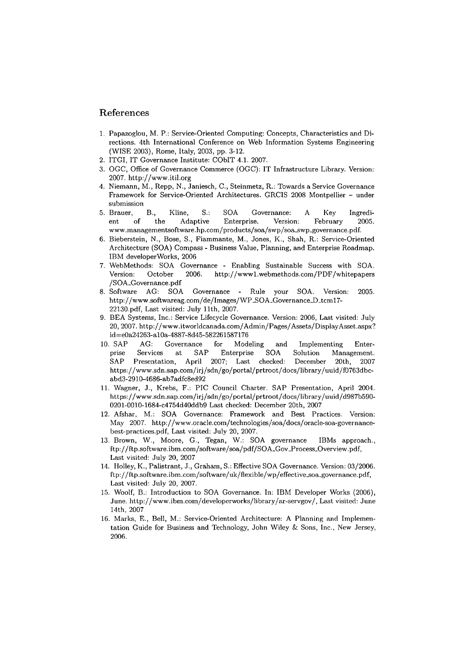### **References**

- 1. Papazoglou, M. P.: Service-Oriented Computing: Concepts, Characteristics and Directions. 4th International Conference on Web Information Systems Engineering (WISE 2003), Rome, Italy, 2003, pp. 3-12.
- 2. ITGI, IT Governance Institute: CObIT 4.1. 2007.
- 3. OGC, Office of Governance Commerce (OGC): IT Infrastructure Library. Version: 2007. http://www.itil.org
- 4. Niemann, M., Repp, N., Janiesch, C., Steinmetz, R.: Towards a Service Governance Framework for Service-Oriented Architectures. GRCIS 2008 Montpellier - under submission
- 5.Brauer, B., Kline, S.: SOA Governance: A Key Ingredient of the Adaptive Enterprise. Version: February 2005. www.managementsoftware.hp.com/products/soa/swp/soa\_swp\_governance.pdf.
- 6. Bieberstein, N., Bose, S., Fiammante, M., Jones, K., Shah, R.: Service-Oriented Architecture (SOA) Compass - Business Value, Planning, and Enterprise Roadmap. IBM developerworks, 2006
- 7. WebMethods: SOA Governance Enabling Sustainable Success with SOA. Version: October 2006. http://www1.webmethods.com/PDF/whitepapers /SOA-Governance.pdf
- 8. Software AG: SOA Governance Rule your SOA. Version: 2005. http://www.softwareag.com/de/Images/WP\_SOA\_Governance\_D\_tcm17-22130.pdf, Last visited: July llth, 2007.
- 9. BEA Systems, Inc.: Service Lifecycle Governance. Version: 2006, Last visited: July 20, 2007. http://www.itworldcanada.com/Admin/Pages/Assets/DisplayAsset.aspx? id=eOa24263-a10a-4887-8d45-582261587176
- 10. SAP AG: Governance for Modeling and Implementing Enter-<br>prise Services at SAP Enterprise SOA Solution Management. at SAP Enterprise SOA Solution Management. SAP Presentation, April 2007; Last checked: December 20th, 2007 https://www.sdn.sap.com/irj/sdn/go/portal/prtroot/docs/library/uuid/f0763dbcabd3-2910-4686-ab7adfc8ed92
- 11. Wagner, J., Krebs, F.: PIC Council Charter. SAP Presentation, April 2004. https://www.sdn.sap.com/irj/sdn/go/portal/prtroot/docs/library/uuid/d987b590- 0201-0010-1684-c4754d40ddb9 Last checked: December 20th, 2007
- 12. Afshar, M.: SOA Governance: Framework and Best Practices. Version: May 2007. **http://www.oracle.com/technologies/soa/docs/oracle-soa-governance**best-practices.pdf, Last visited: July 20, 2007.
- 13. Brown, W., Moore, G., Tegan, W.: SOA governance IBMs approach., ftp://ftp.software.ibm.com/software/soa/pdf/SOA<sub>~</sub>Gov<sub>-Process\_Overview.pdf,</sub> Last visited: July 20, 2007
- 14. Holley, K., Palistrant, J., Graham, S.: Effective SOA Governance. Version: 03/2006. ftp://ftp.software.ibm.com/software/uk/flexible/wp/effective\_soa\_governance.pdf, Last visited: July 20, 2007.
- 15. Woolf, B.: Introduction to SOA Governance. In: IBM Developer Works (2006), June. http://www.ibm.com/developerworks/library/ar-servgov/, Last visited: June 14th, 2007
- 16. Marks, E., Bell, M.: Service-Oriented Architecture: A Planning and Implementation Guide for Business and Technology, John Wiley & Sons, Inc., Wew Jersey, 2006.